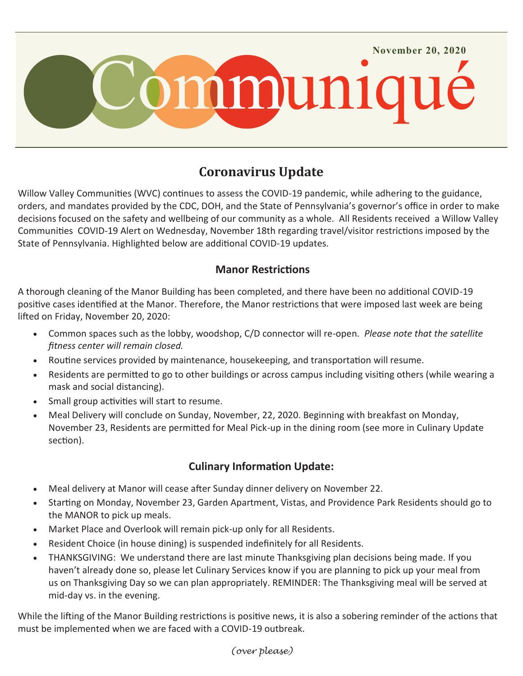

## **Coronavirus Update**

Willow Valley Communities (WVC) continues to assess the COVID-19 pandemic, while adhering to the guidance, orders, and mandates provided by the CDC, DOH, and the State of Pennsylvania's governor's office in order to make decisions focused on the safety and wellbeing of our community as a whole. All Residents received a Willow Valley Communities COVID-19 Alert on Wednesday, November 18th regarding travel/visitor restrictions imposed by the State of Pennsylvania. Highlighted below are additional COVID-19 updates.

## **Manor Restrictions**

A thorough cleaning of the Manor Building has been completed, and there have been no additional COVID-19 positive cases identified at the Manor. Therefore, the Manor restrictions that were imposed last week are being lifted on Friday, November 20, 2020:

- Common spaces such as the lobby, woodshop, C/D connector will re-open. *Please note that the satellite fitness center will remain closed.*
- Routine services provided by maintenance, housekeeping, and transportation will resume.
- Residents are permitted to go to other buildings or across campus including visiting others (while wearing a mask and social distancing).
- Small group activities will start to resume.
- Meal Delivery will conclude on Sunday, November, 22, 2020. Beginning with breakfast on Monday, November 23, Residents are permitted for Meal Pick-up in the dining room (see more in Culinary Update section).

## **Culinary Information Update:**

- Meal delivery at Manor will cease after Sunday dinner delivery on November 22.
- Starting on Monday, November 23, Garden Apartment, Vistas, and Providence Park Residents should go to the MANOR to pick up meals.
- Market Place and Overlook will remain pick-up only for all Residents.
- Resident Choice (in house dining) is suspended indefinitely for all Residents.
- THANKSGIVING: We understand there are last minute Thanksgiving plan decisions being made. If you haven't already done so, please let Culinary Services know if you are planning to pick up your meal from us on Thanksgiving Day so we can plan appropriately. REMINDER: The Thanksgiving meal will be served at mid-day vs. in the evening.

While the lifting of the Manor Building restrictions is positive news, it is also a sobering reminder of the actions that must be implemented when we are faced with a COVID-19 outbreak.